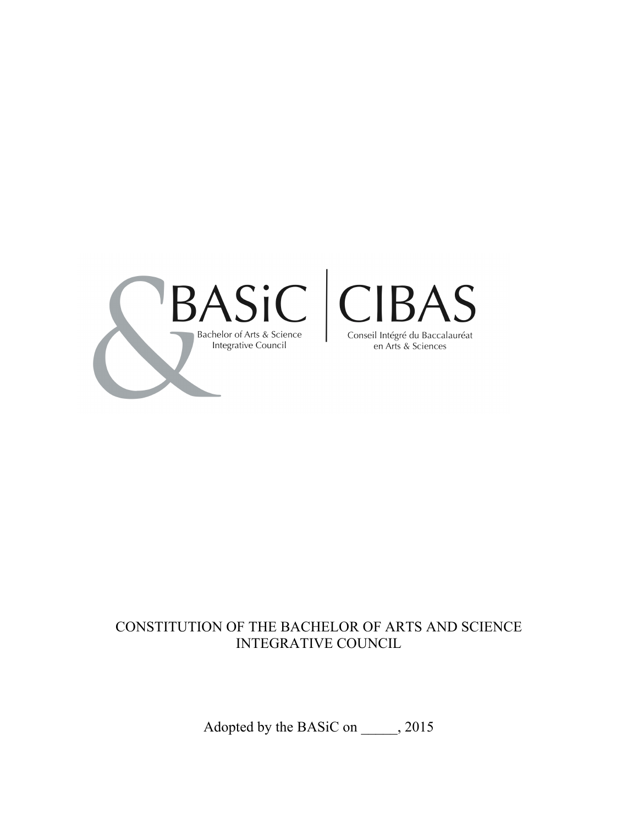

# CONSTITUTION OF THE BACHELOR OF ARTS AND SCIENCE INTEGRATIVE COUNCIL

Adopted by the BASiC on \_\_\_\_\_, 2015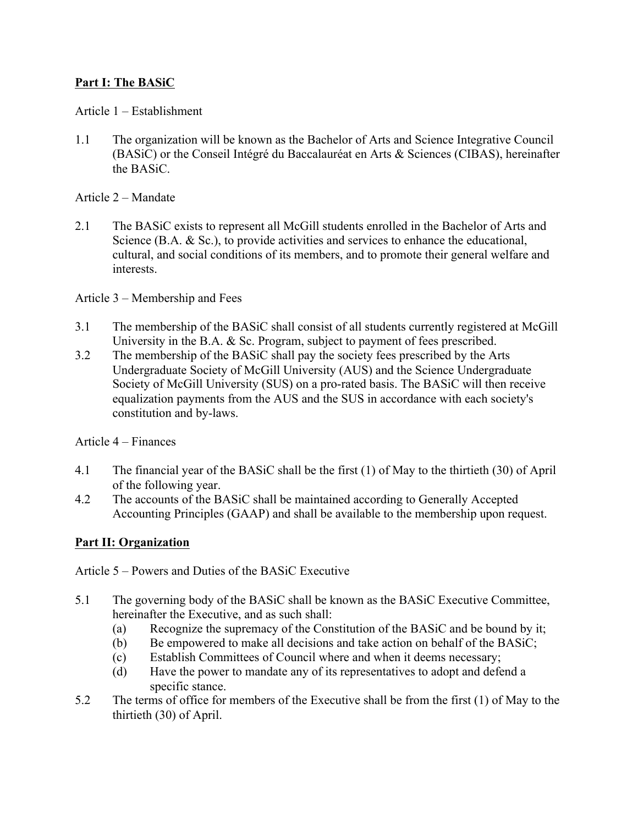## **Part I: The BASiC**

#### Article 1 – Establishment

1.1 The organization will be known as the Bachelor of Arts and Science Integrative Council (BASiC) or the Conseil Intégré du Baccalauréat en Arts & Sciences (CIBAS), hereinafter the BASiC.

#### Article 2 – Mandate

2.1 The BASiC exists to represent all McGill students enrolled in the Bachelor of Arts and Science (B.A. & Sc.), to provide activities and services to enhance the educational, cultural, and social conditions of its members, and to promote their general welfare and interests.

#### Article 3 – Membership and Fees

- 3.1 The membership of the BASiC shall consist of all students currently registered at McGill University in the B.A. & Sc. Program, subject to payment of fees prescribed.
- 3.2 The membership of the BASiC shall pay the society fees prescribed by the Arts Undergraduate Society of McGill University (AUS) and the Science Undergraduate Society of McGill University (SUS) on a pro-rated basis. The BASiC will then receive equalization payments from the AUS and the SUS in accordance with each society's constitution and by-laws.

#### Article 4 – Finances

- 4.1 The financial year of the BASiC shall be the first (1) of May to the thirtieth (30) of April of the following year.
- 4.2 The accounts of the BASiC shall be maintained according to Generally Accepted Accounting Principles (GAAP) and shall be available to the membership upon request.

#### **Part II: Organization**

Article 5 – Powers and Duties of the BASiC Executive

- 5.1 The governing body of the BASiC shall be known as the BASiC Executive Committee, hereinafter the Executive, and as such shall:
	- (a) Recognize the supremacy of the Constitution of the BASiC and be bound by it;
	- (b) Be empowered to make all decisions and take action on behalf of the BASiC;
	- (c) Establish Committees of Council where and when it deems necessary;
	- (d) Have the power to mandate any of its representatives to adopt and defend a specific stance.
- 5.2 The terms of office for members of the Executive shall be from the first (1) of May to the thirtieth (30) of April.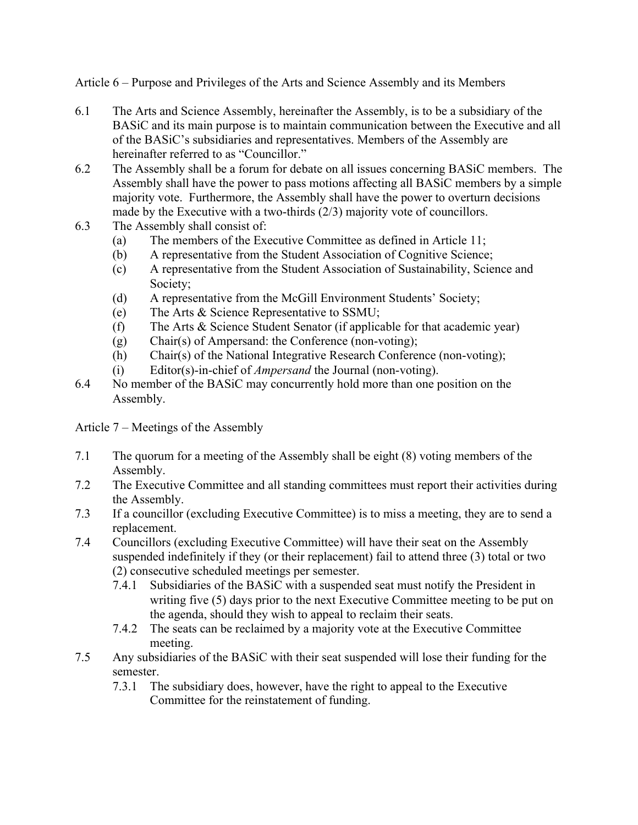Article 6 – Purpose and Privileges of the Arts and Science Assembly and its Members

- 6.1 The Arts and Science Assembly, hereinafter the Assembly, is to be a subsidiary of the BASiC and its main purpose is to maintain communication between the Executive and all of the BASiC's subsidiaries and representatives. Members of the Assembly are hereinafter referred to as "Councillor."
- 6.2 The Assembly shall be a forum for debate on all issues concerning BASiC members. The Assembly shall have the power to pass motions affecting all BASiC members by a simple majority vote. Furthermore, the Assembly shall have the power to overturn decisions made by the Executive with a two-thirds (2/3) majority vote of councillors.
- 6.3 The Assembly shall consist of:
	- (a) The members of the Executive Committee as defined in Article 11;
	- (b) A representative from the Student Association of Cognitive Science;
	- (c) A representative from the Student Association of Sustainability, Science and Society;
	- (d) A representative from the McGill Environment Students' Society;
	- (e) The Arts & Science Representative to SSMU;
	- (f) The Arts & Science Student Senator (if applicable for that academic year)
	- (g) Chair(s) of Ampersand: the Conference (non-voting);
	- (h) Chair(s) of the National Integrative Research Conference (non-voting);
	- (i) Editor(s)-in-chief of *Ampersand* the Journal (non-voting).
- 6.4 No member of the BASiC may concurrently hold more than one position on the Assembly.

Article 7 – Meetings of the Assembly

- 7.1 The quorum for a meeting of the Assembly shall be eight (8) voting members of the Assembly.
- 7.2 The Executive Committee and all standing committees must report their activities during the Assembly.
- 7.3 If a councillor (excluding Executive Committee) is to miss a meeting, they are to send a replacement.
- 7.4 Councillors (excluding Executive Committee) will have their seat on the Assembly suspended indefinitely if they (or their replacement) fail to attend three (3) total or two (2) consecutive scheduled meetings per semester.
	- 7.4.1 Subsidiaries of the BASiC with a suspended seat must notify the President in writing five (5) days prior to the next Executive Committee meeting to be put on the agenda, should they wish to appeal to reclaim their seats.
	- 7.4.2 The seats can be reclaimed by a majority vote at the Executive Committee meeting.
- 7.5 Any subsidiaries of the BASiC with their seat suspended will lose their funding for the semester.
	- 7.3.1 The subsidiary does, however, have the right to appeal to the Executive Committee for the reinstatement of funding.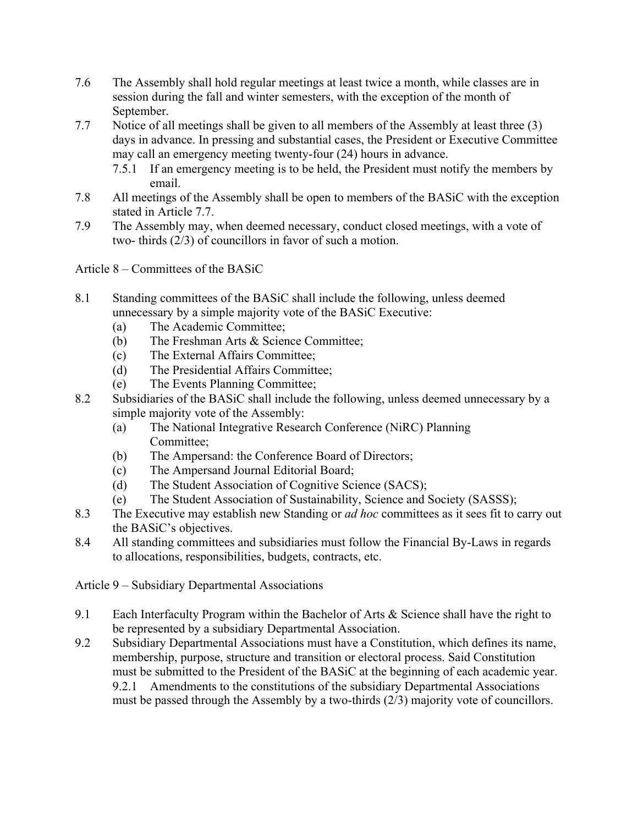- 7.6 The Assembly shall hold regular meetings at least twice a month, while classes are in session during the fall and winter semesters, with the exception of the month of September.
- 7.7 Notice of all meetings shall be given to all members of the Assembly at least three (3) days in advance. In pressing and substantial cases, the President or Executive Committee may call an emergency meeting twenty-four (24) hours in advance.
	- 7.5.1 If an emergency meeting is to be held, the President must notify the members by email.
- 7.8 All meetings of the Assembly shall be open to members of the BASiC with the exception stated in Article 7.7.
- 7.9 The Assembly may, when deemed necessary, conduct closed meetings, with a vote of two- thirds (2/3) of councillors in favor of such a motion.

Article 8 – Committees of the BASiC

- 8.1 Standing committees of the BASiC shall include the following, unless deemed unnecessary by a simple majority vote of the BASiC Executive:
	- (a) The Academic Committee;
	- (b) The Freshman Arts & Science Committee;
	- (c) The External Affairs Committee;
	- (d) The Presidential Affairs Committee;
	- (e) The Events Planning Committee;
- 8.2 Subsidiaries of the BASiC shall include the following, unless deemed unnecessary by a simple majority vote of the Assembly:
	- (a) The National Integrative Research Conference (NiRC) Planning Committee;
	- (b) The Ampersand: the Conference Board of Directors;
	- (c) The Ampersand Journal Editorial Board;
	- (d) The Student Association of Cognitive Science (SACS);
	- (e) The Student Association of Sustainability, Science and Society (SASSS);
- 8.3 The Executive may establish new Standing or *ad hoc* committees as it sees fit to carry out the BASiC's objectives.
- 8.4 All standing committees and subsidiaries must follow the Financial By-Laws in regards to allocations, responsibilities, budgets, contracts, etc.

Article 9 – Subsidiary Departmental Associations

- 9.1 Each Interfaculty Program within the Bachelor of Arts & Science shall have the right to be represented by a subsidiary Departmental Association.
- 9.2 Subsidiary Departmental Associations must have a Constitution, which defines its name, membership, purpose, structure and transition or electoral process. Said Constitution must be submitted to the President of the BASiC at the beginning of each academic year. 9.2.1 Amendments to the constitutions of the subsidiary Departmental Associations must be passed through the Assembly by a two-thirds (2/3) majority vote of councillors.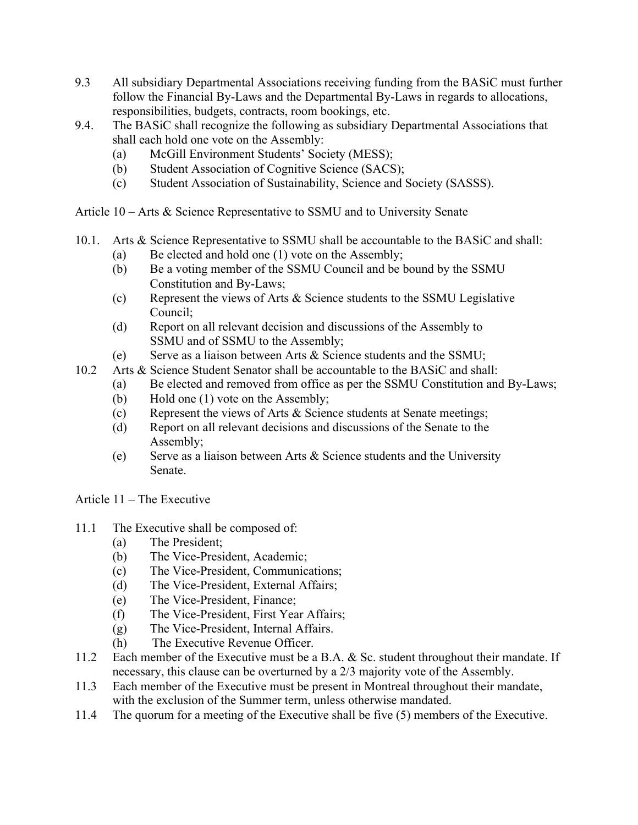- 9.3 All subsidiary Departmental Associations receiving funding from the BASiC must further follow the Financial By-Laws and the Departmental By-Laws in regards to allocations, responsibilities, budgets, contracts, room bookings, etc.
- 9.4. The BASiC shall recognize the following as subsidiary Departmental Associations that shall each hold one vote on the Assembly:
	- (a) McGill Environment Students' Society (MESS);
	- (b) Student Association of Cognitive Science (SACS);
	- (c) Student Association of Sustainability, Science and Society (SASSS).
- Article 10 Arts & Science Representative to SSMU and to University Senate
- 10.1. Arts & Science Representative to SSMU shall be accountable to the BASiC and shall:
	- (a) Be elected and hold one (1) vote on the Assembly;
	- (b) Be a voting member of the SSMU Council and be bound by the SSMU Constitution and By-Laws;
	- (c) Represent the views of Arts & Science students to the SSMU Legislative Council;
	- (d) Report on all relevant decision and discussions of the Assembly to SSMU and of SSMU to the Assembly;
	- (e) Serve as a liaison between Arts & Science students and the SSMU;
- 10.2 Arts & Science Student Senator shall be accountable to the BASiC and shall:
	- (a) Be elected and removed from office as per the SSMU Constitution and By-Laws;
	- (b) Hold one (1) vote on the Assembly;
	- (c) Represent the views of Arts & Science students at Senate meetings;
	- (d) Report on all relevant decisions and discussions of the Senate to the Assembly;
	- (e) Serve as a liaison between Arts & Science students and the University Senate.

Article 11 – The Executive

- 11.1 The Executive shall be composed of:
	- (a) The President;
	- (b) The Vice-President, Academic;
	- (c) The Vice-President, Communications;
	- (d) The Vice-President, External Affairs;
	- (e) The Vice-President, Finance;
	- (f) The Vice-President, First Year Affairs;
	- (g) The Vice-President, Internal Affairs.
	- (h) The Executive Revenue Officer.
- 11.2 Each member of the Executive must be a B.A. & Sc. student throughout their mandate. If necessary, this clause can be overturned by a 2/3 majority vote of the Assembly.
- 11.3 Each member of the Executive must be present in Montreal throughout their mandate, with the exclusion of the Summer term, unless otherwise mandated.
- 11.4 The quorum for a meeting of the Executive shall be five (5) members of the Executive.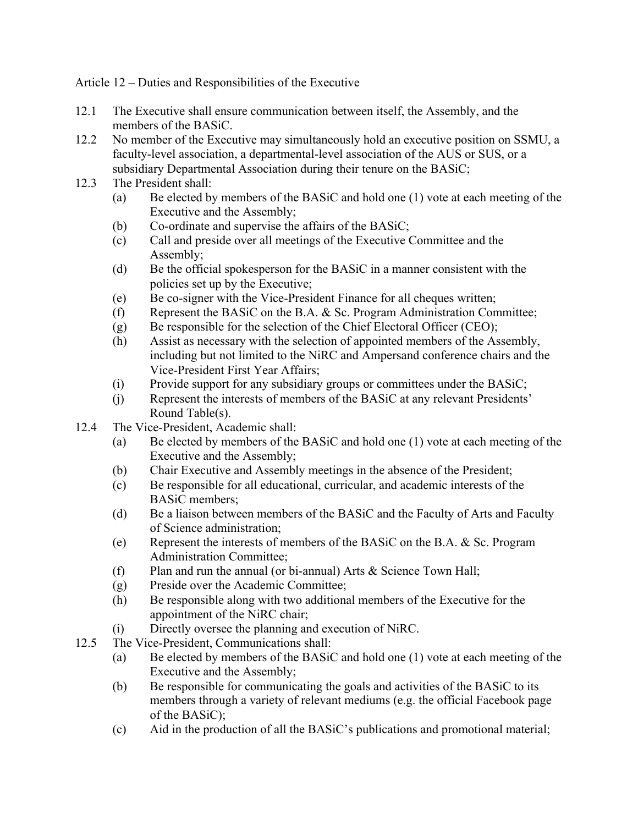Article 12 – Duties and Responsibilities of the Executive

- 12.1 The Executive shall ensure communication between itself, the Assembly, and the members of the BASiC.
- 12.2 No member of the Executive may simultaneously hold an executive position on SSMU, a faculty-level association, a departmental-level association of the AUS or SUS, or a subsidiary Departmental Association during their tenure on the BASiC;
- 12.3 The President shall:
	- (a) Be elected by members of the BASiC and hold one (1) vote at each meeting of the Executive and the Assembly;
	- (b) Co-ordinate and supervise the affairs of the BASiC;
	- (c) Call and preside over all meetings of the Executive Committee and the Assembly;
	- (d) Be the official spokesperson for the BASiC in a manner consistent with the policies set up by the Executive;
	- (e) Be co-signer with the Vice-President Finance for all cheques written;
	- (f) Represent the BASiC on the B.A. & Sc. Program Administration Committee;
	- (g) Be responsible for the selection of the Chief Electoral Officer (CEO);
	- (h) Assist as necessary with the selection of appointed members of the Assembly, including but not limited to the NiRC and Ampersand conference chairs and the Vice-President First Year Affairs;
	- (i) Provide support for any subsidiary groups or committees under the BASiC;
	- (j) Represent the interests of members of the BASiC at any relevant Presidents' Round Table(s).
- 12.4 The Vice-President, Academic shall:
	- (a) Be elected by members of the BASiC and hold one (1) vote at each meeting of the Executive and the Assembly;
	- (b) Chair Executive and Assembly meetings in the absence of the President;
	- (c) Be responsible for all educational, curricular, and academic interests of the BASiC members;
	- (d) Be a liaison between members of the BASiC and the Faculty of Arts and Faculty of Science administration;
	- (e) Represent the interests of members of the BASiC on the B.A. & Sc. Program Administration Committee;
	- (f) Plan and run the annual (or bi-annual) Arts & Science Town Hall;
	- (g) Preside over the Academic Committee;
	- (h) Be responsible along with two additional members of the Executive for the appointment of the NiRC chair;
	- (i) Directly oversee the planning and execution of NiRC.
- 12.5 The Vice-President, Communications shall:
	- (a) Be elected by members of the BASiC and hold one (1) vote at each meeting of the Executive and the Assembly;
	- (b) Be responsible for communicating the goals and activities of the BASiC to its members through a variety of relevant mediums (e.g. the official Facebook page of the BASiC);
	- (c) Aid in the production of all the BASiC's publications and promotional material;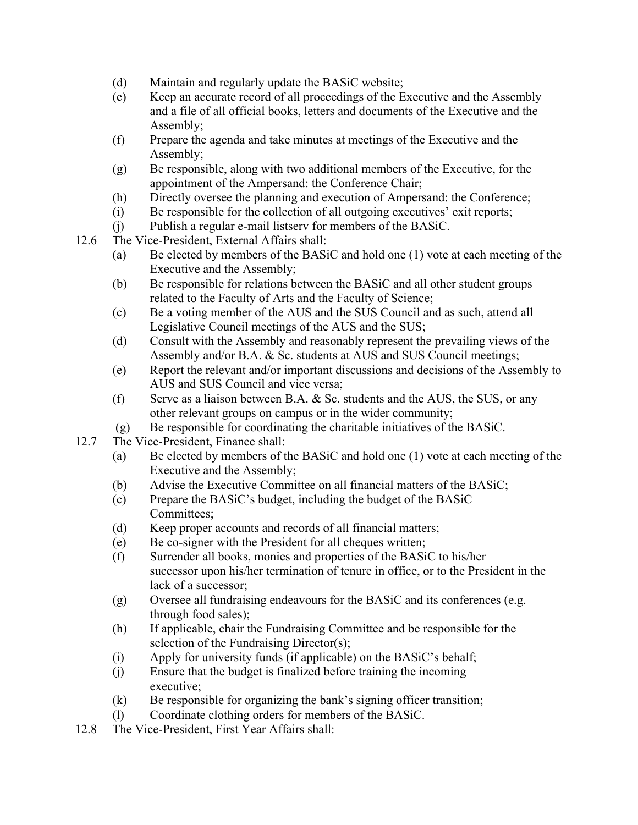- (d) Maintain and regularly update the BASiC website;
- (e) Keep an accurate record of all proceedings of the Executive and the Assembly and a file of all official books, letters and documents of the Executive and the Assembly;
- (f) Prepare the agenda and take minutes at meetings of the Executive and the Assembly;
- (g) Be responsible, along with two additional members of the Executive, for the appointment of the Ampersand: the Conference Chair;
- (h) Directly oversee the planning and execution of Ampersand: the Conference;
- (i) Be responsible for the collection of all outgoing executives' exit reports;
- (j) Publish a regular e-mail listserv for members of the BASiC.
- 12.6 The Vice-President, External Affairs shall:
	- (a) Be elected by members of the BASiC and hold one (1) vote at each meeting of the Executive and the Assembly;
	- (b) Be responsible for relations between the BASiC and all other student groups related to the Faculty of Arts and the Faculty of Science;
	- (c) Be a voting member of the AUS and the SUS Council and as such, attend all Legislative Council meetings of the AUS and the SUS;
	- (d) Consult with the Assembly and reasonably represent the prevailing views of the Assembly and/or B.A. & Sc. students at AUS and SUS Council meetings;
	- (e) Report the relevant and/or important discussions and decisions of the Assembly to AUS and SUS Council and vice versa;
	- (f) Serve as a liaison between B.A. & Sc. students and the AUS, the SUS, or any other relevant groups on campus or in the wider community;
	- (g) Be responsible for coordinating the charitable initiatives of the BASiC.
- 12.7 The Vice-President, Finance shall:
	- (a) Be elected by members of the BASiC and hold one (1) vote at each meeting of the Executive and the Assembly;
	- (b) Advise the Executive Committee on all financial matters of the BASiC;
	- (c) Prepare the BASiC's budget, including the budget of the BASiC Committees;
	- (d) Keep proper accounts and records of all financial matters;
	- (e) Be co-signer with the President for all cheques written;
	- (f) Surrender all books, monies and properties of the BASiC to his/her successor upon his/her termination of tenure in office, or to the President in the lack of a successor;
	- (g) Oversee all fundraising endeavours for the BASiC and its conferences (e.g. through food sales);
	- (h) If applicable, chair the Fundraising Committee and be responsible for the selection of the Fundraising Director(s);
	- (i) Apply for university funds (if applicable) on the BASiC's behalf;
	- (j) Ensure that the budget is finalized before training the incoming executive;
	- (k) Be responsible for organizing the bank's signing officer transition;
	- (l) Coordinate clothing orders for members of the BASiC.
- 12.8 The Vice-President, First Year Affairs shall: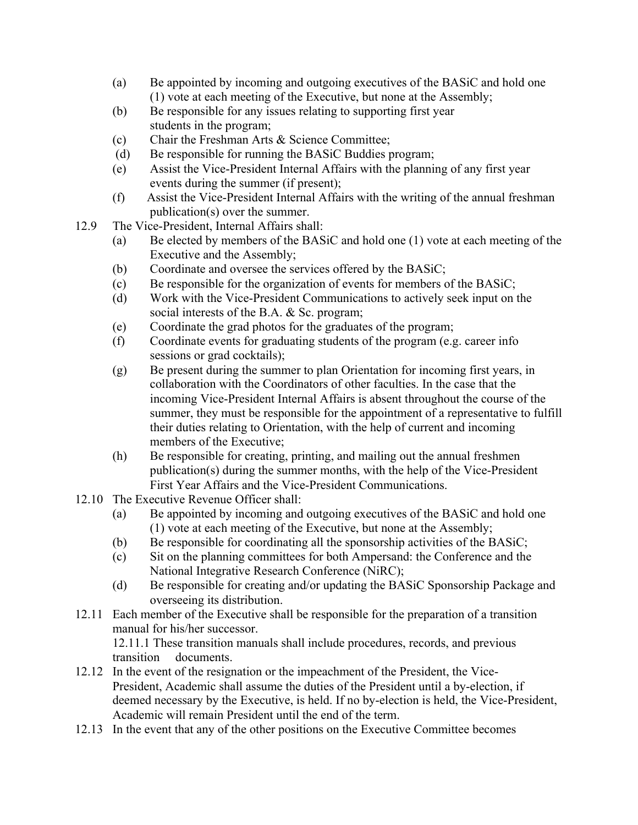- (a) Be appointed by incoming and outgoing executives of the BASiC and hold one (1) vote at each meeting of the Executive, but none at the Assembly;
- (b) Be responsible for any issues relating to supporting first year students in the program;
- (c) Chair the Freshman Arts & Science Committee;
- (d) Be responsible for running the BASiC Buddies program;
- (e) Assist the Vice-President Internal Affairs with the planning of any first year events during the summer (if present);
- (f) Assist the Vice-President Internal Affairs with the writing of the annual freshman publication(s) over the summer.
- 12.9 The Vice-President, Internal Affairs shall:
	- (a) Be elected by members of the BASiC and hold one (1) vote at each meeting of the Executive and the Assembly;
	- (b) Coordinate and oversee the services offered by the BASiC;
	- (c) Be responsible for the organization of events for members of the BASiC;
	- (d) Work with the Vice-President Communications to actively seek input on the social interests of the B.A. & Sc. program;
	- (e) Coordinate the grad photos for the graduates of the program;
	- (f) Coordinate events for graduating students of the program (e.g. career info sessions or grad cocktails);
	- (g) Be present during the summer to plan Orientation for incoming first years, in collaboration with the Coordinators of other faculties. In the case that the incoming Vice-President Internal Affairs is absent throughout the course of the summer, they must be responsible for the appointment of a representative to fulfill their duties relating to Orientation, with the help of current and incoming members of the Executive;
	- (h) Be responsible for creating, printing, and mailing out the annual freshmen publication(s) during the summer months, with the help of the Vice-President First Year Affairs and the Vice-President Communications.
- 12.10 The Executive Revenue Officer shall:
	- (a) Be appointed by incoming and outgoing executives of the BASiC and hold one (1) vote at each meeting of the Executive, but none at the Assembly;
	- (b) Be responsible for coordinating all the sponsorship activities of the BASiC;
	- (c) Sit on the planning committees for both Ampersand: the Conference and the National Integrative Research Conference (NiRC);
	- (d) Be responsible for creating and/or updating the BASiC Sponsorship Package and overseeing its distribution.
- 12.11 Each member of the Executive shall be responsible for the preparation of a transition manual for his/her successor.

12.11.1 These transition manuals shall include procedures, records, and previous transition documents.

- 12.12 In the event of the resignation or the impeachment of the President, the Vice-President, Academic shall assume the duties of the President until a by-election, if deemed necessary by the Executive, is held. If no by-election is held, the Vice-President, Academic will remain President until the end of the term.
- 12.13 In the event that any of the other positions on the Executive Committee becomes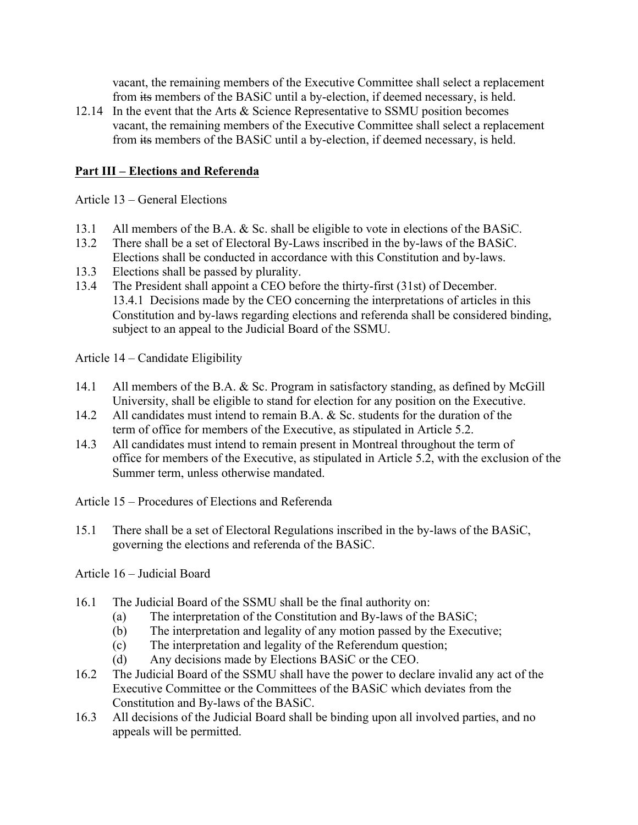vacant, the remaining members of the Executive Committee shall select a replacement from its members of the BASiC until a by-election, if deemed necessary, is held.

12.14 In the event that the Arts & Science Representative to SSMU position becomes vacant, the remaining members of the Executive Committee shall select a replacement from its members of the BASiC until a by-election, if deemed necessary, is held.

## **Part III – Elections and Referenda**

Article 13 – General Elections

- 13.1 All members of the B.A. & Sc. shall be eligible to vote in elections of the BASiC.
- 13.2 There shall be a set of Electoral By-Laws inscribed in the by-laws of the BASiC. Elections shall be conducted in accordance with this Constitution and by-laws.
- 13.3 Elections shall be passed by plurality.
- 13.4 The President shall appoint a CEO before the thirty-first (31st) of December. 13.4.1 Decisions made by the CEO concerning the interpretations of articles in this Constitution and by-laws regarding elections and referenda shall be considered binding, subject to an appeal to the Judicial Board of the SSMU.

Article 14 – Candidate Eligibility

- 14.1 All members of the B.A. & Sc. Program in satisfactory standing, as defined by McGill University, shall be eligible to stand for election for any position on the Executive.
- 14.2 All candidates must intend to remain B.A. & Sc. students for the duration of the term of office for members of the Executive, as stipulated in Article 5.2.
- 14.3 All candidates must intend to remain present in Montreal throughout the term of office for members of the Executive, as stipulated in Article 5.2, with the exclusion of the Summer term, unless otherwise mandated.

Article 15 – Procedures of Elections and Referenda

15.1 There shall be a set of Electoral Regulations inscribed in the by-laws of the BASiC, governing the elections and referenda of the BASiC.

Article 16 – Judicial Board

- 16.1 The Judicial Board of the SSMU shall be the final authority on:
	- (a) The interpretation of the Constitution and By-laws of the BASiC;
	- (b) The interpretation and legality of any motion passed by the Executive;
	- (c) The interpretation and legality of the Referendum question;
	- (d) Any decisions made by Elections BASiC or the CEO.
- 16.2 The Judicial Board of the SSMU shall have the power to declare invalid any act of the Executive Committee or the Committees of the BASiC which deviates from the Constitution and By-laws of the BASiC.
- 16.3 All decisions of the Judicial Board shall be binding upon all involved parties, and no appeals will be permitted.